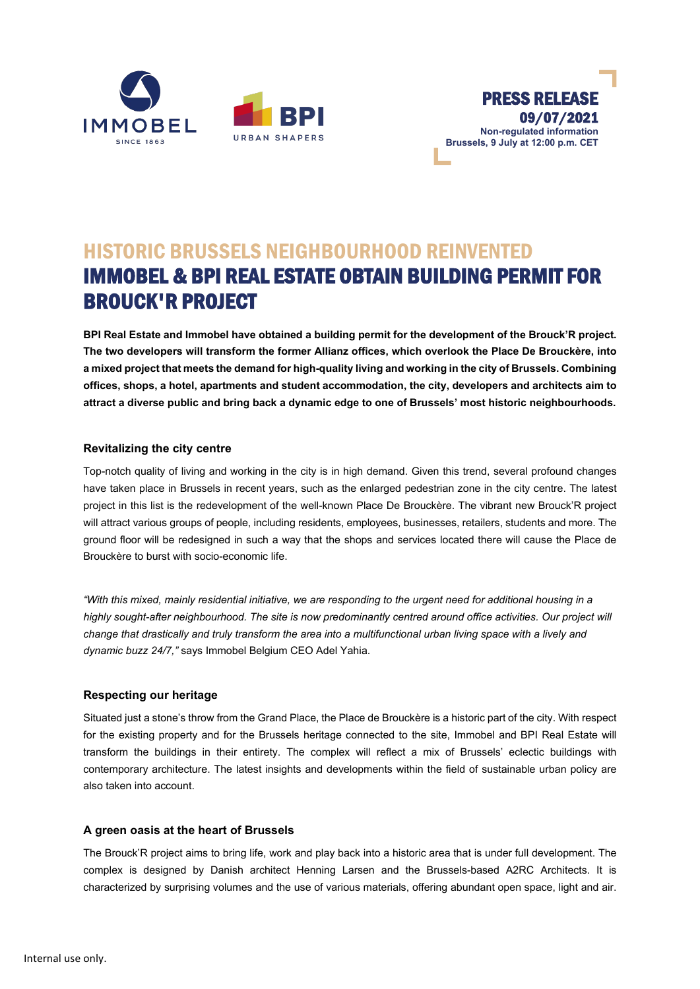



# HISTORIC BRUSSELS NEIGHBOURHOOD REINVENTED IMMOBEL & BPI REAL ESTATE OBTAIN BUILDING PERMIT FOR BROUCK'R PROJECT

**BPI Real Estate and Immobel have obtained a building permit for the development of the Brouck'R project. The two developers will transform the former Allianz offices, which overlook the Place De Brouckère, into a mixed project that meets the demand for high-quality living and working in the city of Brussels. Combining offices, shops, a hotel, apartments and student accommodation, the city, developers and architects aim to attract a diverse public and bring back a dynamic edge to one of Brussels' most historic neighbourhoods.**

## **Revitalizing the city centre**

Top-notch quality of living and working in the city is in high demand. Given this trend, several profound changes have taken place in Brussels in recent years, such as the enlarged pedestrian zone in the city centre. The latest project in this list is the redevelopment of the well-known Place De Brouckère. The vibrant new Brouck'R project will attract various groups of people, including residents, employees, businesses, retailers, students and more. The ground floor will be redesigned in such a way that the shops and services located there will cause the Place de Brouckère to burst with socio-economic life.

*"With this mixed, mainly residential initiative, we are responding to the urgent need for additional housing in a highly sought-after neighbourhood. The site is now predominantly centred around office activities. Our project will change that drastically and truly transform the area into a multifunctional urban living space with a lively and dynamic buzz 24/7,"* says Immobel Belgium CEO Adel Yahia.

### **Respecting our heritage**

Situated just a stone's throw from the Grand Place, the Place de Brouckère is a historic part of the city. With respect for the existing property and for the Brussels heritage connected to the site, Immobel and BPI Real Estate will transform the buildings in their entirety. The complex will reflect a mix of Brussels' eclectic buildings with contemporary architecture. The latest insights and developments within the field of sustainable urban policy are also taken into account.

### **A green oasis at the heart of Brussels**

The Brouck'R project aims to bring life, work and play back into a historic area that is under full development. The complex is designed by Danish architect Henning Larsen and the Brussels-based A2RC Architects. It is characterized by surprising volumes and the use of various materials, offering abundant open space, light and air.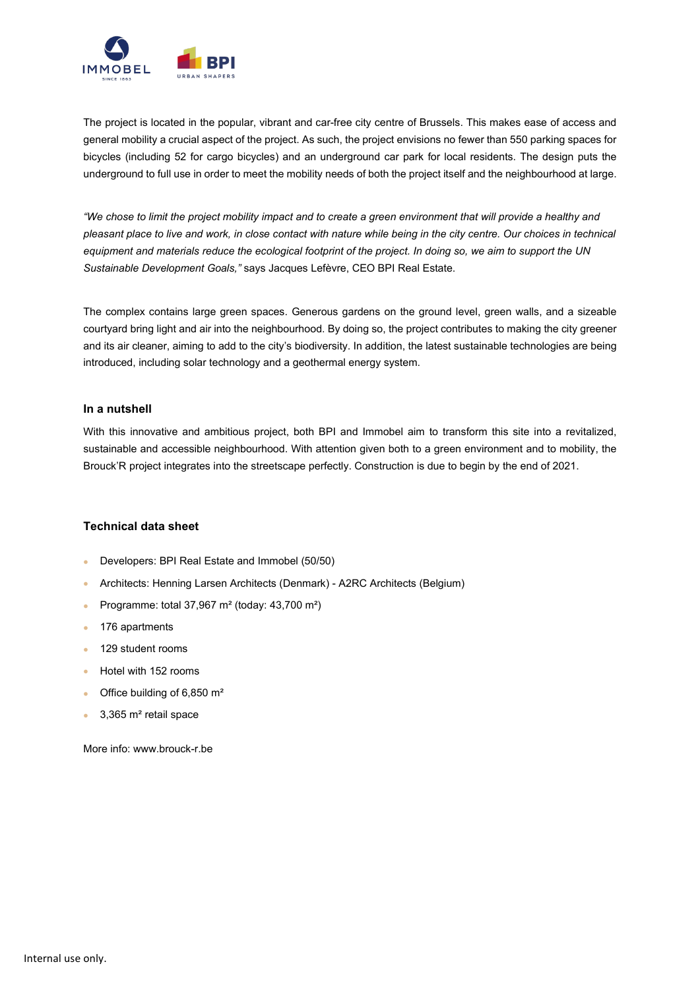

The project is located in the popular, vibrant and car-free city centre of Brussels. This makes ease of access and general mobility a crucial aspect of the project. As such, the project envisions no fewer than 550 parking spaces for bicycles (including 52 for cargo bicycles) and an underground car park for local residents. The design puts the underground to full use in order to meet the mobility needs of both the project itself and the neighbourhood at large.

*"We chose to limit the project mobility impact and to create a green environment that will provide a healthy and pleasant place to live and work, in close contact with nature while being in the city centre. Our choices in technical equipment and materials reduce the ecological footprint of the project. In doing so, we aim to support the UN Sustainable Development Goals,"* says Jacques Lefèvre, CEO BPI Real Estate.

The complex contains large green spaces. Generous gardens on the ground level, green walls, and a sizeable courtyard bring light and air into the neighbourhood. By doing so, the project contributes to making the city greener and its air cleaner, aiming to add to the city's biodiversity. In addition, the latest sustainable technologies are being introduced, including solar technology and a geothermal energy system.

#### **In a nutshell**

With this innovative and ambitious project, both BPI and Immobel aim to transform this site into a revitalized, sustainable and accessible neighbourhood. With attention given both to a green environment and to mobility, the Brouck'R project integrates into the streetscape perfectly. Construction is due to begin by the end of 2021.

### **Technical data sheet**

- Developers: BPI Real Estate and Immobel (50/50)
- Architects: Henning Larsen Architects (Denmark) A2RC Architects (Belgium)
- Programme: total 37,967 m² (today: 43,700 m²)
- 176 apartments
- 129 student rooms
- Hotel with 152 rooms
- Office building of 6,850 m<sup>2</sup>
- 3,365 m² retail space

More info: www.brouck-r.be